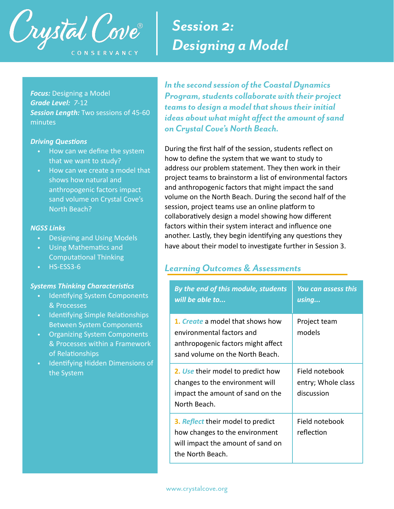

# *Session 2: Designing a Model*

*Focus:* Designing a Model *Grade Level: 7*-12 *Session Length:* Two sessions of 45-60 minutes

#### **Driving Questions**

- How can we define the system that we want to study?
- How can we create a model that shows how natural and anthropogenic factors impact sand volume on Crystal Cove's North Beach?

#### *NGSS Links*

- Designing and Using Models
- Using Mathematics and **Computational Thinking**
- HS-ESS3-6

## **Systems Thinking Characteristics**

- Identifying System Components & Processes
- Identifying Simple Relationships Between System Components
- Organizing System Components & Processes within a Framework of Relationships
- Identifying Hidden Dimensions of the System

*In the second session of the Coastal Dynamics Program, students collaborate with their project teams to design a model that shows their initial ideas about what might affect the amount of sand on Crystal Cove's North Beach.* 

During the first half of the session, students reflect on how to define the system that we want to study to address our problem statement. They then work in their project teams to brainstorm a list of environmental factors and anthropogenic factors that might impact the sand volume on the North Beach. During the second half of the session, project teams use an online platform to collaboratively design a model showing how different factors within their system interact and influence one another. Lastly, they begin identifying any questions they have about their model to investigate further in Session 3.

## *Learning Outcomes & Assessments*

| By the end of this module, students<br>will be able to                                                                                 | You can assess this<br>using                       |
|----------------------------------------------------------------------------------------------------------------------------------------|----------------------------------------------------|
| 1. Create a model that shows how<br>environmental factors and<br>anthropogenic factors might affect<br>sand volume on the North Beach. | Project team<br>models                             |
| 2. Use their model to predict how<br>changes to the environment will<br>impact the amount of sand on the<br>North Beach.               | Field notebook<br>entry; Whole class<br>discussion |
| 3. Reflect their model to predict<br>how changes to the environment<br>will impact the amount of sand on<br>the North Beach.           | Field notebook<br>reflection                       |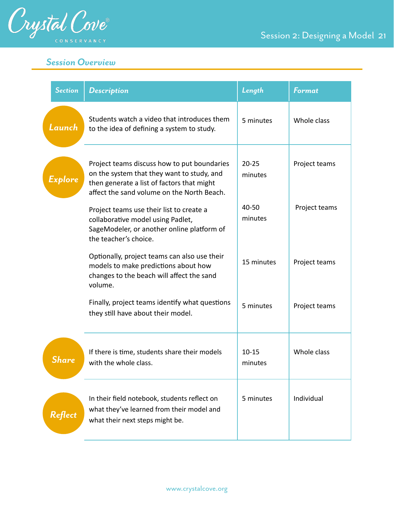

*Session Overview* 

| <b>Section</b> | <b>Description</b>                                                                                                                                                                    | Length               | Format        |
|----------------|---------------------------------------------------------------------------------------------------------------------------------------------------------------------------------------|----------------------|---------------|
| Launch         | Students watch a video that introduces them<br>to the idea of defining a system to study.                                                                                             | 5 minutes            | Whole class   |
| Explore        | Project teams discuss how to put boundaries<br>on the system that they want to study, and<br>then generate a list of factors that might<br>affect the sand volume on the North Beach. | $20 - 25$<br>minutes | Project teams |
|                | Project teams use their list to create a<br>collaborative model using Padlet,<br>SageModeler, or another online platform of<br>the teacher's choice.                                  | 40-50<br>minutes     | Project teams |
|                | Optionally, project teams can also use their<br>models to make predictions about how<br>changes to the beach will affect the sand<br>volume.                                          | 15 minutes           | Project teams |
|                | Finally, project teams identify what questions<br>they still have about their model.                                                                                                  | 5 minutes            | Project teams |
| <b>Share</b>   | If there is time, students share their models<br>with the whole class.                                                                                                                | $10 - 15$<br>minutes | Whole class   |
| Reflect        | In their field notebook, students reflect on<br>what they've learned from their model and<br>what their next steps might be.                                                          | 5 minutes            | Individual    |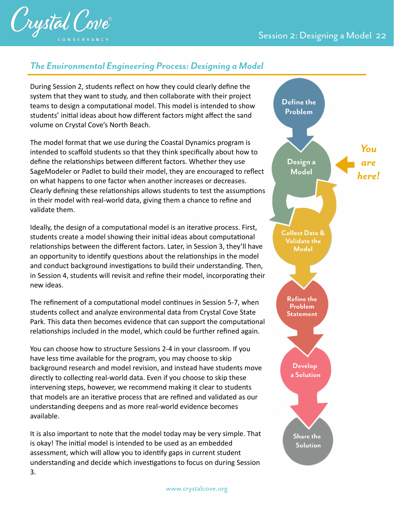

# *The Environmental Engineering Process: Designing a Model*

During Session 2, students reflect on how they could clearly define the system that they want to study, and then collaborate with their project teams to design a computational model. This model is intended to show students' initial ideas about how different factors might affect the sand volume on Crystal Cove's North Beach.

The model format that we use during the Coastal Dynamics program is intended to scaffold students so that they think specifically about how to define the relationships between different factors. Whether they use SageModeler or Padlet to build their model, they are encouraged to reflect on what happens to one factor when another increases or decreases. Clearly defining these relationships allows students to test the assumptions in their model with real-world data, giving them a chance to refine and validate them.

Ideally, the design of a computational model is an iterative process. First, students create a model showing their initial ideas about computational relationships between the different factors. Later, in Session 3, they'll have an opportunity to identify questions about the relationships in the model and conduct background investigations to build their understanding. Then, in Session 4, students will revisit and refine their model, incorporating their new ideas.

The refinement of a computational model continues in Session 5-7, when students collect and analyze environmental data from Crystal Cove State Park. This data then becomes evidence that can support the computational relationships included in the model, which could be further refined again.

You can choose how to structure Sessions 2-4 in your classroom. If you have less time available for the program, you may choose to skip background research and model revision, and instead have students move directly to collecting real-world data. Even if you choose to skip these intervening steps, however, we recommend making it clear to students that models are an iterative process that are refined and validated as our understanding deepens and as more real-world evidence becomes available.

It is also important to note that the model today may be very simple. That is okay! The initial model is intended to be used as an embedded assessment, which will allow you to identify gaps in current student understanding and decide which investigations to focus on during Session 3.

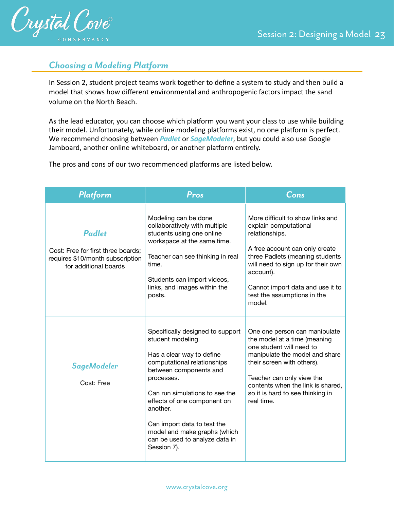

# *Choosing a Modeling Platform*

In Session 2, student project teams work together to define a system to study and then build a model that shows how different environmental and anthropogenic factors impact the sand volume on the North Beach.

As the lead educator, you can choose which platform you want your class to use while building their model. Unfortunately, while online modeling platforms exist, no one platform is perfect. We recommend choosing between *Padlet* or *SageModeler*, but you could also use Google Jamboard, another online whiteboard, or another platform entirely.

The pros and cons of our two recommended platforms are listed below.

| Platform                                                                                                         | Pros                                                                                                                                                                                                                                                                                                                                                   | Cons                                                                                                                                                                                                                                                                             |
|------------------------------------------------------------------------------------------------------------------|--------------------------------------------------------------------------------------------------------------------------------------------------------------------------------------------------------------------------------------------------------------------------------------------------------------------------------------------------------|----------------------------------------------------------------------------------------------------------------------------------------------------------------------------------------------------------------------------------------------------------------------------------|
| <b>Padlet</b><br>Cost: Free for first three boards;<br>requires \$10/month subscription<br>for additional boards | Modeling can be done<br>collaboratively with multiple<br>students using one online<br>workspace at the same time.<br>Teacher can see thinking in real<br>time.<br>Students can import videos,<br>links, and images within the<br>posts.                                                                                                                | More difficult to show links and<br>explain computational<br>relationships.<br>A free account can only create<br>three Padlets (meaning students<br>will need to sign up for their own<br>account).<br>Cannot import data and use it to<br>test the assumptions in the<br>model. |
| SageModeler<br>Cost: Free                                                                                        | Specifically designed to support<br>student modeling.<br>Has a clear way to define<br>computational relationships<br>between components and<br>processes.<br>Can run simulations to see the<br>effects of one component on<br>another.<br>Can import data to test the<br>model and make graphs (which<br>can be used to analyze data in<br>Session 7). | One one person can manipulate<br>the model at a time (meaning<br>one student will need to<br>manipulate the model and share<br>their screen with others).<br>Teacher can only view the<br>contents when the link is shared,<br>so it is hard to see thinking in<br>real time.    |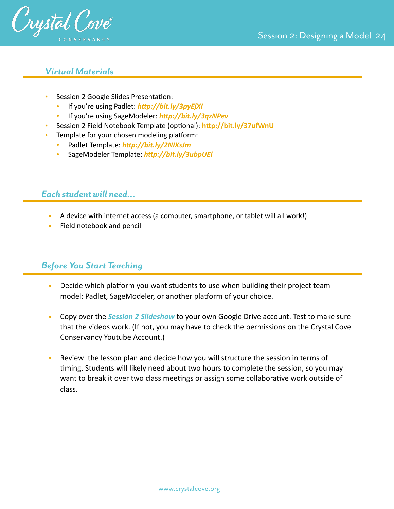

## *Virtual Materials*

- Session 2 Google Slides Presentation:
	- If you're using Padlet: **http://bit.ly/3pyEjXI**
	- If you're using SageModeler: *[hLp://bit.ly/3qzNPev](http://bit.ly/3qzNPev)*
- Session 2 Field Notebook Template (optional): http://bit.ly/37ufWnU
- Template for your chosen modeling platform:
	- Padlet Template: http://bit.ly/2NIXsJm
	- SageModeler Template: *[hLp://bit.ly/3ubpUEl](http://bit.ly/3ubpUEl)*

# *Each student will need…*

- A device with internet access (a computer, smartphone, or tablet will all work!)
- Field notebook and pencil

# *Before You Start Teaching*

- Decide which platform you want students to use when building their project team model: Padlet, SageModeler, or another platform of your choice.
- Copy over the *Session 2 Slideshow* to your own Google Drive account. Test to make sure that the videos work. (If not, you may have to check the permissions on the Crystal Cove Conservancy Youtube Account.)
- Review the lesson plan and decide how you will structure the session in terms of timing. Students will likely need about two hours to complete the session, so you may want to break it over two class meetings or assign some collaborative work outside of class.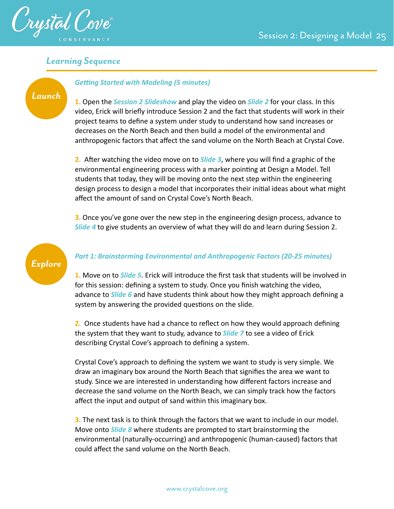

## *Learning Sequence*



## **Getting Started with Modeling (5 minutes)**

**1.** Open the *Session 2 Slideshow* and play the video on *Slide 2* for your class. In this video, Erick will briefly introduce Session 2 and the fact that students will work in their project teams to define a system under study to understand how sand increases or decreases on the North Beach and then build a model of the environmental and anthropogenic factors that affect the sand volume on the North Beach at Crystal Cove.

**2.** After watching the video move on to **Slide 3**, where you will find a graphic of the environmental engineering process with a marker pointing at Design a Model. Tell students that today, they will be moving onto the next step within the engineering design process to design a model that incorporates their initial ideas about what might affect the amount of sand on Crystal Cove's North Beach.

**3.** Once you've gone over the new step in the engineering design process, advance to *Slide 4* to give students an overview of what they will do and learn during Session 2.



## *Part 1: Brainstorming Environmental and Anthropogenic Factors (20-25 minutes)*

**1.** Move on to *Slide 5*. Erick will introduce the first task that students will be involved in for this session: defining a system to study. Once you finish watching the video, advance to *Slide 6* and have students think about how they might approach defining a system by answering the provided questions on the slide.

**2.** Once students have had a chance to reflect on how they would approach defining the system that they want to study, advance to *Slide 7* to see a video of Erick describing Crystal Cove's approach to defining a system.

Crystal Cove's approach to defining the system we want to study is very simple. We draw an imaginary box around the North Beach that signifies the area we want to study. Since we are interested in understanding how different factors increase and decrease the sand volume on the North Beach, we can simply track how the factors affect the input and output of sand within this imaginary box.

**3.** The next task is to think through the factors that we want to include in our model. Move onto *Slide 8* where students are prompted to start brainstorming the environmental (naturally-occurring) and anthropogenic (human-caused) factors that could affect the sand volume on the North Beach.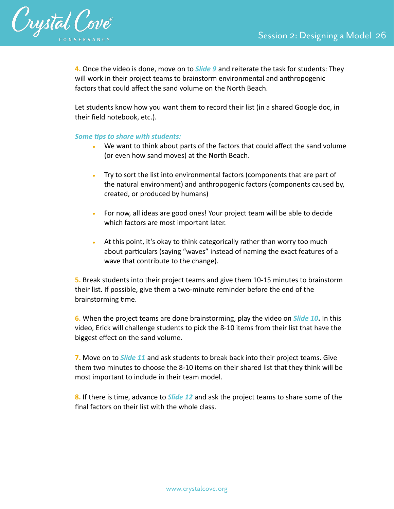

**4.** Once the video is done, move on to *Slide 9* and reiterate the task for students: They will work in their project teams to brainstorm environmental and anthropogenic factors that could affect the sand volume on the North Beach.

Let students know how you want them to record their list (in a shared Google doc, in their field notebook, etc.).

## **Some tips to share with students:**

- We want to think about parts of the factors that could affect the sand volume (or even how sand moves) at the North Beach.
- Try to sort the list into environmental factors (components that are part of the natural environment) and anthropogenic factors (components caused by, created, or produced by humans)
- For now, all ideas are good ones! Your project team will be able to decide which factors are most important later.
- At this point, it's okay to think categorically rather than worry too much about particulars (saying "waves" instead of naming the exact features of a wave that contribute to the change).

**5.** Break students into their project teams and give them 10-15 minutes to brainstorm their list. If possible, give them a two-minute reminder before the end of the brainstorming time.

**6.** When the project teams are done brainstorming, play the video on *Slide 10***.** In this video, Erick will challenge students to pick the 8-10 items from their list that have the biggest effect on the sand volume.

**7.** Move on to *Slide 11* and ask students to break back into their project teams. Give them two minutes to choose the 8-10 items on their shared list that they think will be most important to include in their team model.

8. If there is time, advance to *Slide 12* and ask the project teams to share some of the final factors on their list with the whole class.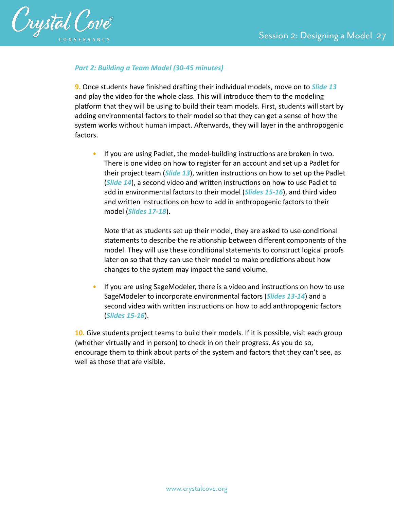

## *Part 2: Building a Team Model (30-45 minutes)*

**9.** Once students have finished drafting their individual models, move on to *Slide 13* and play the video for the whole class. This will introduce them to the modeling platform that they will be using to build their team models. First, students will start by adding environmental factors to their model so that they can get a sense of how the system works without human impact. Afterwards, they will layer in the anthropogenic factors.

• If you are using Padlet, the model-building instructions are broken in two. There is one video on how to register for an account and set up a Padlet for their project team (*Slide 13*), written instructions on how to set up the Padlet (*Slide 14*), a second video and written instructions on how to use Padlet to add in environmental factors to their model (*Slides 15-16*), and third video and written instructions on how to add in anthropogenic factors to their model (*Slides 17-18*).

Note that as students set up their model, they are asked to use conditional statements to describe the relationship between different components of the model. They will use these conditional statements to construct logical proofs later on so that they can use their model to make predictions about how changes to the system may impact the sand volume.

If you are using SageModeler, there is a video and instructions on how to use SageModeler to incorporate environmental factors (*Slides 13-14*) and a second video with written instructions on how to add anthropogenic factors (*Slides 15-16*).

**10.** Give students project teams to build their models. If it is possible, visit each group (whether virtually and in person) to check in on their progress. As you do so, encourage them to think about parts of the system and factors that they can't see, as well as those that are visible.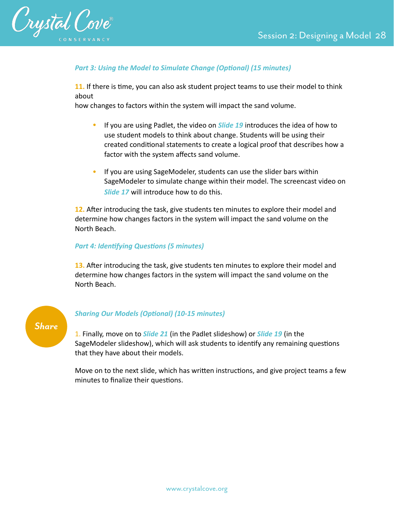

## **Part 3: Using the Model to Simulate Change (Optional) (15 minutes)**

**11.** If there is time, you can also ask student project teams to use their model to think about

how changes to factors within the system will impact the sand volume.

- If you are using Padlet, the video on *Slide 19* introduces the idea of how to use student models to think about change. Students will be using their created conditional statements to create a logical proof that describes how a factor with the system affects sand volume.
- If you are using SageModeler, students can use the slider bars within SageModeler to simulate change within their model. The screencast video on *Slide 17* will introduce how to do this.

12. After introducing the task, give students ten minutes to explore their model and determine how changes factors in the system will impact the sand volume on the North Beach.

## **Part 4: Identifying Questions (5 minutes)**

13. After introducing the task, give students ten minutes to explore their model and determine how changes factors in the system will impact the sand volume on the North Beach.



## **Sharing Our Models (Optional) (10-15 minutes)**

1. Finally, move on to *Slide 21* (in the Padlet slideshow) or *Slide 19* (in the SageModeler slideshow), which will ask students to identify any remaining questions that they have about their models.

Move on to the next slide, which has written instructions, and give project teams a few minutes to finalize their questions.